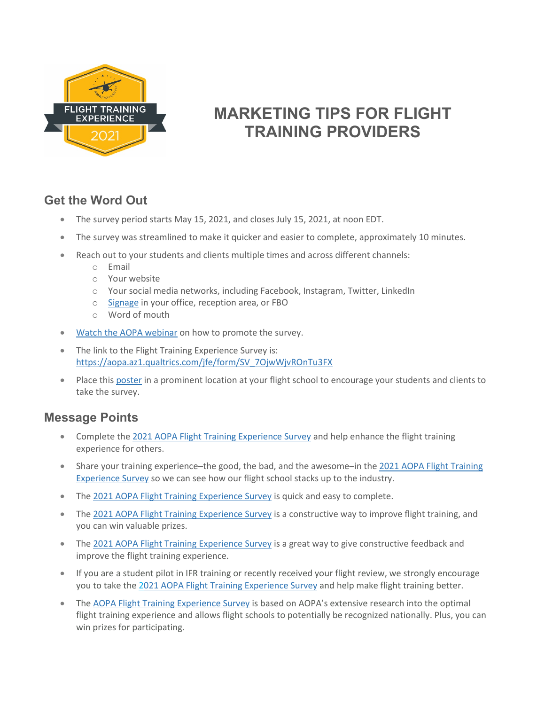

# **MARKETING TIPS FOR FLIGHT TRAINING PROVIDERS**

# **Get the Word Out**

- The survey period starts May 15, 2021, and closes July 15, 2021, at noon EDT.
- The survey was streamlined to make it quicker and easier to complete, approximately 10 minutes.
- Reach out to your students and clients multiple times and across different channels:
	- o Email
	- o Your website
	- o Your social media networks, including Facebook, Instagram, Twitter, LinkedIn
	- o [Signage](http://www.aopa.org/-/media/Files/AOPA/Home/Training-and-Safety/Flight-Training-Awards-and-Poll/FTExp_Survey_2021_Poster__14x85.pdf) in your office, reception area, or FBO
	- o Word of mouth
- [Watch the AOPA webinar](https://www.youtube.com/watch?v=pI-23LmvXiY&feature=youtu.be) on how to promote the survey.
- The link to the Flight Training Experience Survey is: [https://aopa.az1.qualtrics.com/jfe/form/SV\\_7OjwWjvROnTu3FX](https://aopa.az1.qualtrics.com/jfe/form/SV_7OjwWjvROnTu3FX)
- Place thi[s poster](http://www.aopa.org/-/media/Files/AOPA/Home/Training-and-Safety/Flight-Training-Awards-and-Poll/FTExp_Survey_2021_Poster__14x85.pdf) in a prominent location at your flight school to encourage your students and clients to take the survey.

## **Message Points**

- Complete the 2021 [AOPA Flight Training Experience Survey](https://aopa.az1.qualtrics.com/jfe/form/SV_7OjwWjvROnTu3FX) and help enhance the flight training experience for others.
- Share your training experience–the good, the bad, and the awesome–in the 2021 AOPA Flight Training [Experience Survey](https://aopa.az1.qualtrics.com/jfe/form/SV_7OjwWjvROnTu3FX) so we can see how our flight school stacks up to the industry.
- Th[e 2021 AOPA Flight Training Experience Survey](https://aopa.az1.qualtrics.com/jfe/form/SV_7OjwWjvROnTu3FX) is quick and easy to complete.
- The [2021 AOPA Flight Training](https://aopa.az1.qualtrics.com/jfe/form/SV_7OjwWjvROnTu3FX) Experience Survey is a constructive way to improve flight training, and you can win valuable prizes.
- Th[e 2021 AOPA Flight Training Experience Survey](https://aopa.az1.qualtrics.com/jfe/form/SV_7OjwWjvROnTu3FX) is a great way to give constructive feedback and improve the flight training experience.
- If you are a student pilot in IFR training or recently received your flight review, we strongly encourage you to take the [2021 AOPA Flight Training Experience Survey](https://aopa.az1.qualtrics.com/jfe/form/SV_7OjwWjvROnTu3FX) and help make flight training better.
- Th[e AOPA Flight Training Experience Survey](https://aopa.az1.qualtrics.com/jfe/form/SV_7OjwWjvROnTu3FX) is based on AOPA's extensive research into the optimal flight training experience and allows flight schools to potentially be recognized nationally. Plus, you can win prizes for participating.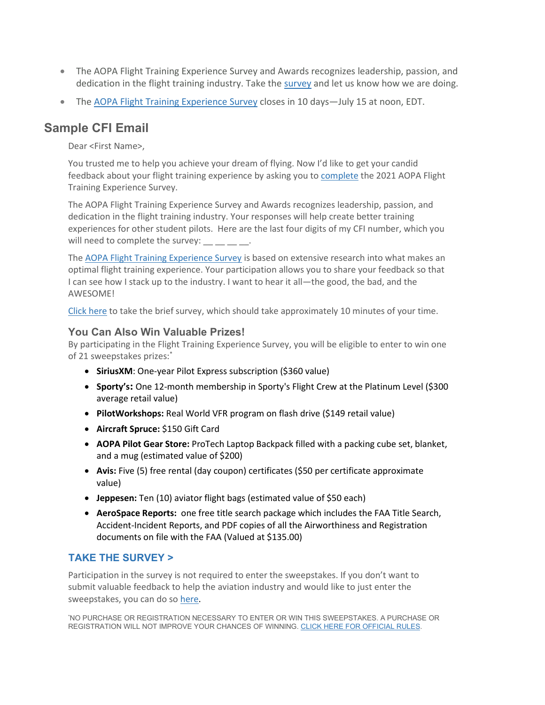- The AOPA Flight Training Experience Survey and Awards recognizes leadership, passion, and dedication in the flight training industry. Take the [survey](https://aopa.az1.qualtrics.com/jfe/form/SV_7OjwWjvROnTu3FX) and let us know how we are doing.
- The AOPA [Flight Training Experience Survey](https://aopa.az1.qualtrics.com/jfe/form/SV_7OjwWjvROnTu3FX) closes in 10 days—July 15 at noon, EDT.

# **Sample CFI Email**

Dear <First Name>,

You trusted me to help you achieve your dream of flying. Now I'd like to get your candid feedback about your flight training experience by asking you t[o complete](https://aopa.az1.qualtrics.com/jfe/form/SV_7OjwWjvROnTu3FX) the 2021 AOPA Flight Training Experience Survey.

The AOPA Flight Training Experience Survey and Awards recognizes leadership, passion, and dedication in the flight training industry. Your responses will help create better training experiences for other student pilots. Here are the last four digits of my CFI number, which you will need to complete the survey:

The [AOPA Flight Training Experience Survey](https://www.aopa.org/training-and-safety/flight-schools/flight-training-initiative/flight-training-experience-survey-and-awards/flight-training-survey) is based on extensive research into what makes an optimal flight training experience. Your participation allows you to share your feedback so that I can see how I stack up to the industry. I want to hear it all—the good, the bad, and the AWESOME!

[Click here](https://aopa.az1.qualtrics.com/jfe/form/SV_7OjwWjvROnTu3FX) to take the brief survey, which should take approximately 10 minutes of your time.

### **You Can Also Win Valuable Prizes!**

By participating in the Flight Training Experience Survey, you will be eligible to enter to win one of 21 sweepstakes prizes:\*

- **SiriusXM**: One-year Pilot Express subscription (\$360 value)
- **Sporty's:** One 12-month membership in Sporty's Flight Crew at the Platinum Level (\$300 average retail value)
- **PilotWorkshops:** Real World VFR program on flash drive (\$149 retail value)
- **Aircraft Spruce:** \$150 Gift Card
- **AOPA Pilot Gear Store:** ProTech Laptop Backpack filled with a packing cube set, blanket, and a mug (estimated value of \$200)
- **Avis:** Five (5) free rental (day coupon) certificates (\$50 per certificate approximate value)
- **Jeppesen:** Ten (10) aviator flight bags (estimated value of \$50 each)
- **AeroSpace Reports:** one free title search package which includes the FAA Title Search, Accident-Incident Reports, and PDF copies of all the Airworthiness and Registration documents on file with the FAA (Valued at \$135.00)

### **[TAKE THE SURVEY >](https://aopa.az1.qualtrics.com/jfe/form/SV_7OjwWjvROnTu3FX)**

Participation in the survey is not required to enter the sweepstakes. If you don't want to submit valuable feedback to help the aviation industry and would like to just enter the sweepstakes, you can do so [here.](https://forms.office.com/Pages/ResponsePage.aspx?id=-yFBQbrnBECblFFu26pfTFDev6i5-f9PvLzVFoEnMHlUMUFEWlgwWDRPSFhBUkNYWUwyRDhGR1hZTy4u)

\* NO PURCHASE OR REGISTRATION NECESSARY TO ENTER OR WIN THIS SWEEPSTAKES. A PURCHASE OR REGISTRATION WILL NOT IMPROVE YOUR CHANCES OF WINNING. [CLICK HERE FOR OFFICIAL RULES.](http://www.aopa.org/-/media/Files/AOPA/Home/Training-and-Safety/Flight-Training-Awards-and-Poll/AOPAs-2021-Flight-Training-Experience-Survey-Sweepstakes-Official-Rules2.pdf)